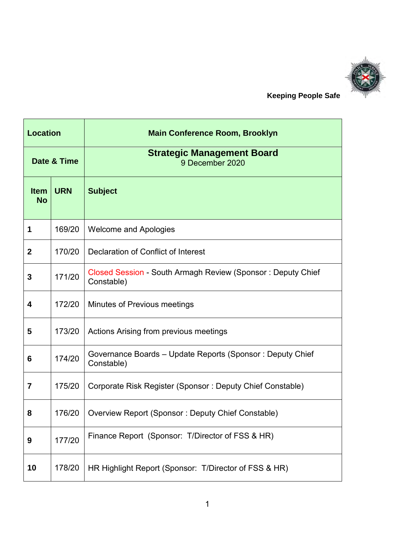

 **Keeping People Safe**

| <b>Location</b>          |            | <b>Main Conference Room, Brooklyn</b>                                     |
|--------------------------|------------|---------------------------------------------------------------------------|
| Date & Time              |            | <b>Strategic Management Board</b><br>9 December 2020                      |
| <b>Item</b><br><b>No</b> | <b>URN</b> | <b>Subject</b>                                                            |
| 1                        | 169/20     | <b>Welcome and Apologies</b>                                              |
| $\mathbf 2$              | 170/20     | Declaration of Conflict of Interest                                       |
| 3                        | 171/20     | Closed Session - South Armagh Review (Sponsor: Deputy Chief<br>Constable) |
| 4                        | 172/20     | <b>Minutes of Previous meetings</b>                                       |
| 5                        | 173/20     | Actions Arising from previous meetings                                    |
| 6                        | 174/20     | Governance Boards - Update Reports (Sponsor: Deputy Chief<br>Constable)   |
| 7                        | 175/20     | Corporate Risk Register (Sponsor: Deputy Chief Constable)                 |
| 8                        | 176/20     | Overview Report (Sponsor: Deputy Chief Constable)                         |
| 9                        | 177/20     | Finance Report (Sponsor: T/Director of FSS & HR)                          |
| 10                       | 178/20     | HR Highlight Report (Sponsor: T/Director of FSS & HR)                     |